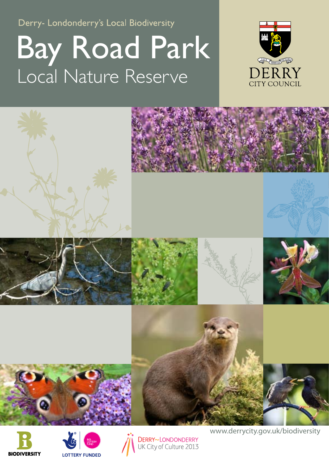Derry- Londonderry's Local Biodiversity

## Bay Road Park Local Nature Reserve









DERRY~LONDONDERRY<br>UK City of Culture 2013

www.derrycity.gov.uk/biodiversity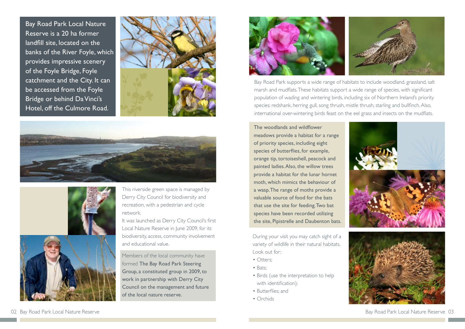During your visit you may catch sight of a variety of wildlife in their natural habitats. Look out for:

- Otters:
- Bats;
- Birds (use the interpretation to help with identification);
- Butterflies; and
- Orchids

Bay Road Park supports a wide range of habitats to include woodland, grassland, salt marsh and mudflats. These habitats support a wide range of species, with significant population of wading and wintering birds, including six of Northern Ireland's priority species: redshank, herring gull, song thrush, mistle thrush, starling and bullfinch. Also, international over-wintering birds feast on the eel grass and insects on the mudflats.

Bay Road Park Local Nature Reserve is a 20 ha former landfill site, located on the banks of the River Foyle, which provides impressive scenery of the Foyle Bridge, Foyle catchment and the City. It can be accessed from the Foyle Bridge or behind Da Vinci's Hotel, off the Culmore Road.







It was launched as Derry City Council's first Local Nature Reserve in June 2009, for its biodiversity, access, community involvement and educational value.

The woodlands and wildflower meadows provide a habitat for a range of priority species, including eight species of butterflies, for example, orange tip, tortoiseshell, peacock and painted ladies. Also, the willow trees provide a habitat for the lunar hornet moth, which mimics the behaviour of a wasp. The range of moths provide a valuable source of food for the bats that use the site for feeding. Two bat species have been recorded utilizing the site, Pipistrelle and Daubenton bats.



This riverside green space is managed by Derry City Council for biodiversity and recreation, with a pedestrian and cycle network.

Members of the local community have formed The Bay Road Park Steering Group, a constituted group in 2009, to work in partnership with Derry City Council on the management and future of the local nature reserve.



Bay Road Park Local Nature Reserve 03